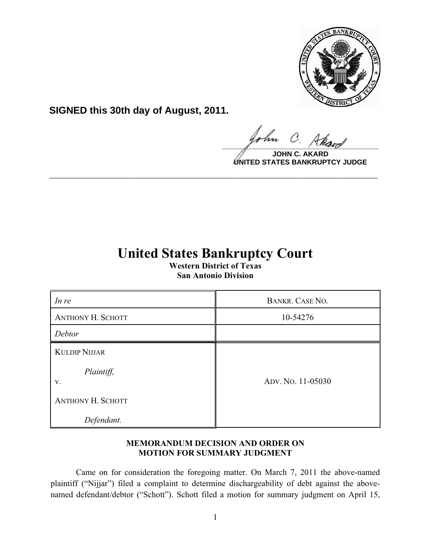

**SIGNED this 30th day of August, 2011.**

l.  $\frac{1}{\sqrt{1-\frac{1}{2}}\sqrt{1-\frac{1}{2}}\sqrt{1-\frac{1}{2}}\sqrt{1-\frac{1}{2}}\sqrt{1-\frac{1}{2}}\sqrt{1-\frac{1}{2}}\sqrt{1-\frac{1}{2}}\sqrt{1-\frac{1}{2}}\sqrt{1-\frac{1}{2}}\sqrt{1-\frac{1}{2}}\sqrt{1-\frac{1}{2}}\sqrt{1-\frac{1}{2}}\sqrt{1-\frac{1}{2}}\sqrt{1-\frac{1}{2}}\sqrt{1-\frac{1}{2}}\sqrt{1-\frac{1}{2}}\sqrt{1-\frac{1}{2}}\sqrt{1-\frac{1}{2}}\sqrt{1-\frac{1}{2}}\sqrt{1-\frac$ 

**JOHN C. AKARD UNITED STATES BANKRUPTCY JUDGE**

# **United States Bankruptcy Court**

**\_\_\_\_\_\_\_\_\_\_\_\_\_\_\_\_\_\_\_\_\_\_\_\_\_\_\_\_\_\_\_\_\_\_\_\_\_\_\_\_\_\_\_\_\_\_\_\_\_\_\_\_\_\_\_\_\_\_\_\_**

**Western District of Texas San Antonio Division**

| In re                                    | BANKR. CASE NO.   |
|------------------------------------------|-------------------|
| <b>ANTHONY H. SCHOTT</b>                 | 10-54276          |
| Debtor                                   |                   |
| <b>KULDIP NIJJAR</b><br>Plaintiff,<br>V. | ADV. No. 11-05030 |
| <b>ANTHONY H. SCHOTT</b>                 |                   |
| Defendant.                               |                   |

## **MEMORANDUM DECISION AND ORDER ON MOTION FOR SUMMARY JUDGMENT**

Came on for consideration the foregoing matter. On March 7, 2011 the above-named plaintiff ("Nijjar") filed a complaint to determine dischargeability of debt against the abovenamed defendant/debtor ("Schott"). Schott filed a motion for summary judgment on April 15,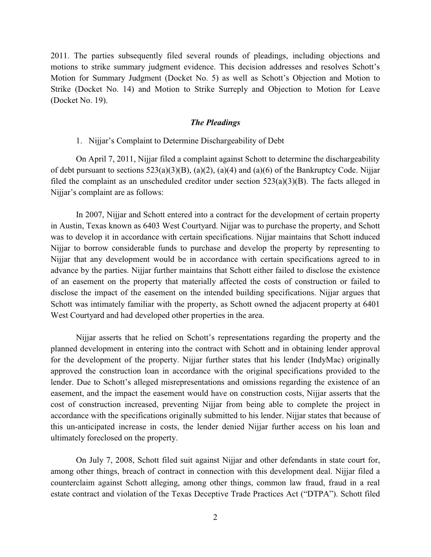2011. The parties subsequently filed several rounds of pleadings, including objections and motions to strike summary judgment evidence. This decision addresses and resolves Schott's Motion for Summary Judgment (Docket No. 5) as well as Schott's Objection and Motion to Strike (Docket No. 14) and Motion to Strike Surreply and Objection to Motion for Leave (Docket No. 19).

#### *The Pleadings*

#### 1. Nijjar's Complaint to Determine Dischargeability of Debt

On April 7, 2011, Nijjar filed a complaint against Schott to determine the dischargeability of debt pursuant to sections 523(a)(3)(B), (a)(2), (a)(4) and (a)(6) of the Bankruptcy Code. Nijjar filed the complaint as an unscheduled creditor under section  $523(a)(3)(B)$ . The facts alleged in Nijjar's complaint are as follows:

In 2007, Nijjar and Schott entered into a contract for the development of certain property in Austin, Texas known as 6403 West Courtyard. Nijjar was to purchase the property, and Schott was to develop it in accordance with certain specifications. Nijjar maintains that Schott induced Nijjar to borrow considerable funds to purchase and develop the property by representing to Nijjar that any development would be in accordance with certain specifications agreed to in advance by the parties. Nijjar further maintains that Schott either failed to disclose the existence of an easement on the property that materially affected the costs of construction or failed to disclose the impact of the easement on the intended building specifications. Nijjar argues that Schott was intimately familiar with the property, as Schott owned the adjacent property at 6401 West Courtyard and had developed other properties in the area.

Nijjar asserts that he relied on Schott's representations regarding the property and the planned development in entering into the contract with Schott and in obtaining lender approval for the development of the property. Nijjar further states that his lender (IndyMac) originally approved the construction loan in accordance with the original specifications provided to the lender. Due to Schott's alleged misrepresentations and omissions regarding the existence of an easement, and the impact the easement would have on construction costs, Nijjar asserts that the cost of construction increased, preventing Nijjar from being able to complete the project in accordance with the specifications originally submitted to his lender. Nijjar states that because of this un-anticipated increase in costs, the lender denied Nijjar further access on his loan and ultimately foreclosed on the property.

On July 7, 2008, Schott filed suit against Nijjar and other defendants in state court for, among other things, breach of contract in connection with this development deal. Nijjar filed a counterclaim against Schott alleging, among other things, common law fraud, fraud in a real estate contract and violation of the Texas Deceptive Trade Practices Act ("DTPA"). Schott filed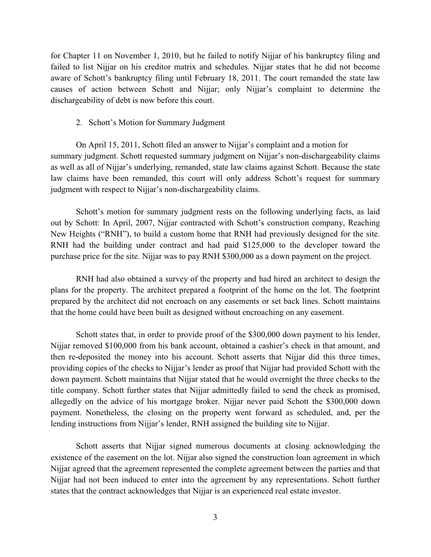for Chapter 11 on November 1, 2010, but he failed to notify Nijjar of his bankruptcy filing and failed to list Nijjar on his creditor matrix and schedules. Nijjar states that he did not become aware of Schott's bankruptcy filing until February 18, 2011. The court remanded the state law causes of action between Schott and Nijjar; only Nijjar's complaint to determine the dischargeability of debt is now before this court.

2. Schott's Motion for Summary Judgment

On April 15, 2011, Schott filed an answer to Nijjar's complaint and a motion for summary judgment. Schott requested summary judgment on Nijjar's non-dischargeability claims as well as all of Nijjar's underlying, remanded, state law claims against Schott. Because the state law claims have been remanded, this court will only address Schott's request for summary judgment with respect to Nijjar's non-dischargeability claims.

Schott's motion for summary judgment rests on the following underlying facts, as laid out by Schott: In April, 2007, Nijjar contracted with Schott's construction company, Reaching New Heights ("RNH"), to build a custom home that RNH had previously designed for the site. RNH had the building under contract and had paid \$125,000 to the developer toward the purchase price for the site. Nijjar was to pay RNH \$300,000 as a down payment on the project.

RNH had also obtained a survey of the property and had hired an architect to design the plans for the property. The architect prepared a footprint of the home on the lot. The footprint prepared by the architect did not encroach on any easements or set back lines. Schott maintains that the home could have been built as designed without encroaching on any easement.

Schott states that, in order to provide proof of the \$300,000 down payment to his lender, Nijjar removed \$100,000 from his bank account, obtained a cashier's check in that amount, and then re-deposited the money into his account. Schott asserts that Nijjar did this three times, providing copies of the checks to Nijjar's lender as proof that Nijjar had provided Schott with the down payment. Schott maintains that Nijjar stated that he would overnight the three checks to the title company. Schott further states that Nijjar admittedly failed to send the check as promised, allegedly on the advice of his mortgage broker. Nijjar never paid Schott the \$300,000 down payment. Nonetheless, the closing on the property went forward as scheduled, and, per the lending instructions from Nijjar's lender, RNH assigned the building site to Nijjar.

Schott asserts that Nijjar signed numerous documents at closing acknowledging the existence of the easement on the lot. Nijjar also signed the construction loan agreement in which Nijjar agreed that the agreement represented the complete agreement between the parties and that Nijjar had not been induced to enter into the agreement by any representations. Schott further states that the contract acknowledges that Nijjar is an experienced real estate investor.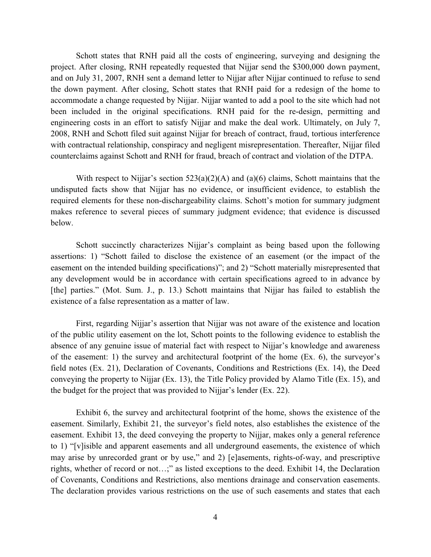Schott states that RNH paid all the costs of engineering, surveying and designing the project. After closing, RNH repeatedly requested that Nijjar send the \$300,000 down payment, and on July 31, 2007, RNH sent a demand letter to Nijjar after Nijjar continued to refuse to send the down payment. After closing, Schott states that RNH paid for a redesign of the home to accommodate a change requested by Nijjar. Nijjar wanted to add a pool to the site which had not been included in the original specifications. RNH paid for the re-design, permitting and engineering costs in an effort to satisfy Nijjar and make the deal work. Ultimately, on July 7, 2008, RNH and Schott filed suit against Nijjar for breach of contract, fraud, tortious interference with contractual relationship, conspiracy and negligent misrepresentation. Thereafter, Nijjar filed counterclaims against Schott and RNH for fraud, breach of contract and violation of the DTPA.

With respect to Nijjar's section  $523(a)(2)(A)$  and  $(a)(6)$  claims, Schott maintains that the undisputed facts show that Nijjar has no evidence, or insufficient evidence, to establish the required elements for these non-dischargeability claims. Schott's motion for summary judgment makes reference to several pieces of summary judgment evidence; that evidence is discussed below.

Schott succinctly characterizes Nijjar's complaint as being based upon the following assertions: 1) "Schott failed to disclose the existence of an easement (or the impact of the easement on the intended building specifications)"; and 2) "Schott materially misrepresented that any development would be in accordance with certain specifications agreed to in advance by [the] parties." (Mot. Sum. J., p. 13.) Schott maintains that Nijjar has failed to establish the existence of a false representation as a matter of law.

First, regarding Nijjar's assertion that Nijjar was not aware of the existence and location of the public utility easement on the lot, Schott points to the following evidence to establish the absence of any genuine issue of material fact with respect to Nijjar's knowledge and awareness of the easement: 1) the survey and architectural footprint of the home (Ex. 6), the surveyor's field notes (Ex. 21), Declaration of Covenants, Conditions and Restrictions (Ex. 14), the Deed conveying the property to Nijjar (Ex. 13), the Title Policy provided by Alamo Title (Ex. 15), and the budget for the project that was provided to Nijjar's lender (Ex. 22).

Exhibit 6, the survey and architectural footprint of the home, shows the existence of the easement. Similarly, Exhibit 21, the surveyor's field notes, also establishes the existence of the easement. Exhibit 13, the deed conveying the property to Nijjar, makes only a general reference to 1) "[v]isible and apparent easements and all underground easements, the existence of which may arise by unrecorded grant or by use," and 2) [e]asements, rights-of-way, and prescriptive rights, whether of record or not…;" as listed exceptions to the deed. Exhibit 14, the Declaration of Covenants, Conditions and Restrictions, also mentions drainage and conservation easements. The declaration provides various restrictions on the use of such easements and states that each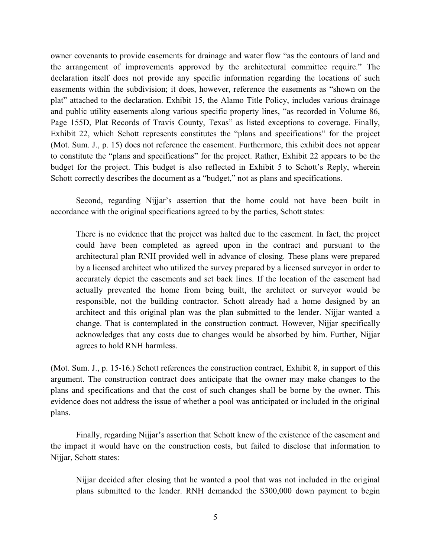owner covenants to provide easements for drainage and water flow "as the contours of land and the arrangement of improvements approved by the architectural committee require." The declaration itself does not provide any specific information regarding the locations of such easements within the subdivision; it does, however, reference the easements as "shown on the plat" attached to the declaration. Exhibit 15, the Alamo Title Policy, includes various drainage and public utility easements along various specific property lines, "as recorded in Volume 86, Page 155D, Plat Records of Travis County, Texas" as listed exceptions to coverage. Finally, Exhibit 22, which Schott represents constitutes the "plans and specifications" for the project (Mot. Sum. J., p. 15) does not reference the easement. Furthermore, this exhibit does not appear to constitute the "plans and specifications" for the project. Rather, Exhibit 22 appears to be the budget for the project. This budget is also reflected in Exhibit 5 to Schott's Reply, wherein Schott correctly describes the document as a "budget," not as plans and specifications.

Second, regarding Nijjar's assertion that the home could not have been built in accordance with the original specifications agreed to by the parties, Schott states:

There is no evidence that the project was halted due to the easement. In fact, the project could have been completed as agreed upon in the contract and pursuant to the architectural plan RNH provided well in advance of closing. These plans were prepared by a licensed architect who utilized the survey prepared by a licensed surveyor in order to accurately depict the easements and set back lines. If the location of the easement had actually prevented the home from being built, the architect or surveyor would be responsible, not the building contractor. Schott already had a home designed by an architect and this original plan was the plan submitted to the lender. Nijjar wanted a change. That is contemplated in the construction contract. However, Nijjar specifically acknowledges that any costs due to changes would be absorbed by him. Further, Nijjar agrees to hold RNH harmless.

(Mot. Sum. J., p. 15-16.) Schott references the construction contract, Exhibit 8, in support of this argument. The construction contract does anticipate that the owner may make changes to the plans and specifications and that the cost of such changes shall be borne by the owner. This evidence does not address the issue of whether a pool was anticipated or included in the original plans.

Finally, regarding Nijjar's assertion that Schott knew of the existence of the easement and the impact it would have on the construction costs, but failed to disclose that information to Nijjar, Schott states:

Nijjar decided after closing that he wanted a pool that was not included in the original plans submitted to the lender. RNH demanded the \$300,000 down payment to begin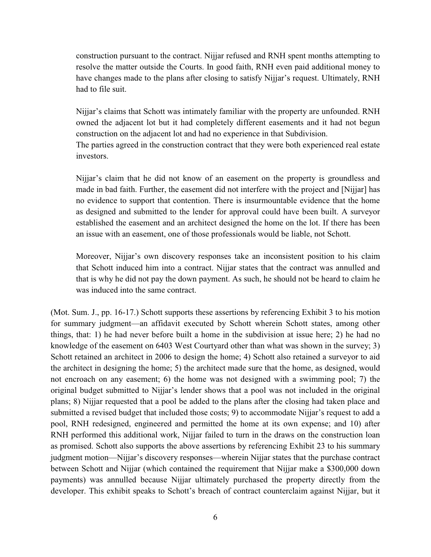construction pursuant to the contract. Nijjar refused and RNH spent months attempting to resolve the matter outside the Courts. In good faith, RNH even paid additional money to have changes made to the plans after closing to satisfy Nijjar's request. Ultimately, RNH had to file suit.

Nijjar's claims that Schott was intimately familiar with the property are unfounded. RNH owned the adjacent lot but it had completely different easements and it had not begun construction on the adjacent lot and had no experience in that Subdivision. The parties agreed in the construction contract that they were both experienced real estate investors.

Nijjar's claim that he did not know of an easement on the property is groundless and made in bad faith. Further, the easement did not interfere with the project and [Nijjar] has no evidence to support that contention. There is insurmountable evidence that the home as designed and submitted to the lender for approval could have been built. A surveyor established the easement and an architect designed the home on the lot. If there has been an issue with an easement, one of those professionals would be liable, not Schott.

Moreover, Nijjar's own discovery responses take an inconsistent position to his claim that Schott induced him into a contract. Nijjar states that the contract was annulled and that is why he did not pay the down payment. As such, he should not be heard to claim he was induced into the same contract.

(Mot. Sum. J., pp. 16-17.) Schott supports these assertions by referencing Exhibit 3 to his motion for summary judgment—an affidavit executed by Schott wherein Schott states, among other things, that: 1) he had never before built a home in the subdivision at issue here; 2) he had no knowledge of the easement on 6403 West Courtyard other than what was shown in the survey; 3) Schott retained an architect in 2006 to design the home; 4) Schott also retained a surveyor to aid the architect in designing the home; 5) the architect made sure that the home, as designed, would not encroach on any easement; 6) the home was not designed with a swimming pool; 7) the original budget submitted to Nijjar's lender shows that a pool was not included in the original plans; 8) Nijjar requested that a pool be added to the plans after the closing had taken place and submitted a revised budget that included those costs; 9) to accommodate Nijjar's request to add a pool, RNH redesigned, engineered and permitted the home at its own expense; and 10) after RNH performed this additional work, Nijjar failed to turn in the draws on the construction loan as promised. Schott also supports the above assertions by referencing Exhibit 23 to his summary judgment motion—Nijjar's discovery responses—wherein Nijjar states that the purchase contract between Schott and Nijjar (which contained the requirement that Nijjar make a \$300,000 down payments) was annulled because Nijjar ultimately purchased the property directly from the developer. This exhibit speaks to Schott's breach of contract counterclaim against Nijjar, but it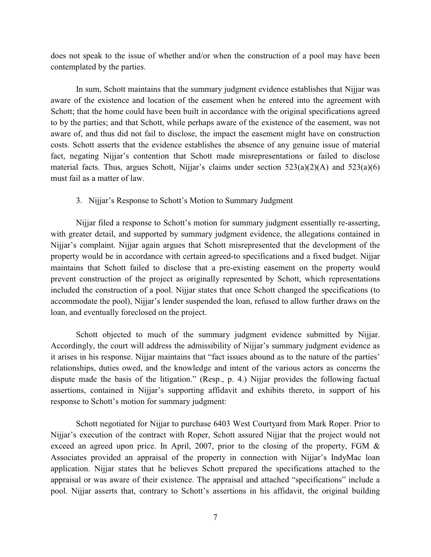does not speak to the issue of whether and/or when the construction of a pool may have been contemplated by the parties.

In sum, Schott maintains that the summary judgment evidence establishes that Nijjar was aware of the existence and location of the easement when he entered into the agreement with Schott; that the home could have been built in accordance with the original specifications agreed to by the parties; and that Schott, while perhaps aware of the existence of the easement, was not aware of, and thus did not fail to disclose, the impact the easement might have on construction costs. Schott asserts that the evidence establishes the absence of any genuine issue of material fact, negating Nijjar's contention that Schott made misrepresentations or failed to disclose material facts. Thus, argues Schott, Nijjar's claims under section  $523(a)(2)(A)$  and  $523(a)(6)$ must fail as a matter of law.

#### 3. Nijjar's Response to Schott's Motion to Summary Judgment

Nijjar filed a response to Schott's motion for summary judgment essentially re-asserting, with greater detail, and supported by summary judgment evidence, the allegations contained in Nijjar's complaint. Nijjar again argues that Schott misrepresented that the development of the property would be in accordance with certain agreed-to specifications and a fixed budget. Nijjar maintains that Schott failed to disclose that a pre-existing easement on the property would prevent construction of the project as originally represented by Schott, which representations included the construction of a pool. Nijjar states that once Schott changed the specifications (to accommodate the pool), Nijjar's lender suspended the loan, refused to allow further draws on the loan, and eventually foreclosed on the project.

Schott objected to much of the summary judgment evidence submitted by Nijjar. Accordingly, the court will address the admissibility of Nijjar's summary judgment evidence as it arises in his response. Nijjar maintains that "fact issues abound as to the nature of the parties' relationships, duties owed, and the knowledge and intent of the various actors as concerns the dispute made the basis of the litigation." (Resp., p. 4.) Nijjar provides the following factual assertions, contained in Nijjar's supporting affidavit and exhibits thereto, in support of his response to Schott's motion for summary judgment:

Schott negotiated for Nijjar to purchase 6403 West Courtyard from Mark Roper. Prior to Nijjar's execution of the contract with Roper, Schott assured Nijjar that the project would not exceed an agreed upon price. In April, 2007, prior to the closing of the property, FGM & Associates provided an appraisal of the property in connection with Nijjar's IndyMac loan application. Nijjar states that he believes Schott prepared the specifications attached to the appraisal or was aware of their existence. The appraisal and attached "specifications" include a pool. Nijjar asserts that, contrary to Schott's assertions in his affidavit, the original building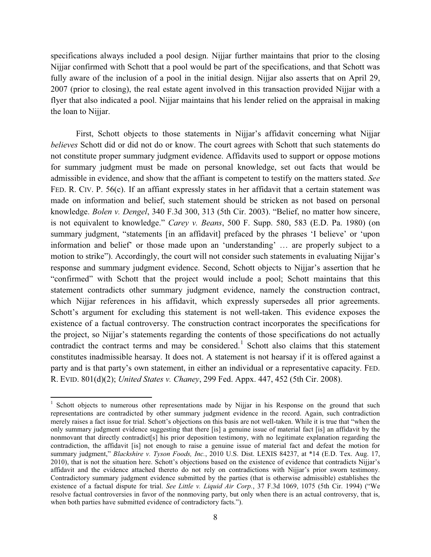specifications always included a pool design. Nijjar further maintains that prior to the closing Nijjar confirmed with Schott that a pool would be part of the specifications, and that Schott was fully aware of the inclusion of a pool in the initial design. Nijjar also asserts that on April 29, 2007 (prior to closing), the real estate agent involved in this transaction provided Nijjar with a flyer that also indicated a pool. Nijjar maintains that his lender relied on the appraisal in making the loan to Nijjar.

First, Schott objects to those statements in Nijjar's affidavit concerning what Nijjar *believes* Schott did or did not do or know. The court agrees with Schott that such statements do not constitute proper summary judgment evidence. Affidavits used to support or oppose motions for summary judgment must be made on personal knowledge, set out facts that would be admissible in evidence, and show that the affiant is competent to testify on the matters stated. *See*  FED. R. CIV. P. 56(c). If an affiant expressly states in her affidavit that a certain statement was made on information and belief, such statement should be stricken as not based on personal knowledge. *Bolen v. Dengel*, 340 F.3d 300, 313 (5th Cir. 2003). "Belief, no matter how sincere, is not equivalent to knowledge." *Carey v. Beans*, 500 F. Supp. 580, 583 (E.D. Pa. 1980) (on summary judgment, "statements [in an affidavit] prefaced by the phrases 'I believe' or 'upon information and belief' or those made upon an 'understanding' … are properly subject to a motion to strike"). Accordingly, the court will not consider such statements in evaluating Nijjar's response and summary judgment evidence. Second, Schott objects to Nijjar's assertion that he "confirmed" with Schott that the project would include a pool; Schott maintains that this statement contradicts other summary judgment evidence, namely the construction contract, which Nijjar references in his affidavit, which expressly supersedes all prior agreements. Schott's argument for excluding this statement is not well-taken. This evidence exposes the existence of a factual controversy. The construction contract incorporates the specifications for the project, so Nijjar's statements regarding the contents of those specifications do not actually contradict the contract terms and may be considered.<sup>1</sup> Schott also claims that this statement constitutes inadmissible hearsay. It does not. A statement is not hearsay if it is offered against a party and is that party's own statement, in either an individual or a representative capacity. FED. R. EVID. 801(d)(2); *United States v. Chaney*, 299 Fed. Appx. 447, 452 (5th Cir. 2008).

l

<sup>&</sup>lt;sup>1</sup> Schott objects to numerous other representations made by Nijjar in his Response on the ground that such representations are contradicted by other summary judgment evidence in the record. Again, such contradiction merely raises a fact issue for trial. Schott's objections on this basis are not well-taken. While it is true that "when the only summary judgment evidence suggesting that there [is] a genuine issue of material fact [is] an affidavit by the nonmovant that directly contradict[s] his prior deposition testimony, with no legitimate explanation regarding the contradiction, the affidavit [is] not enough to raise a genuine issue of material fact and defeat the motion for summary judgment," *Blackshire v. Tyson Foods, Inc.*, 2010 U.S. Dist. LEXIS 84237, at \*14 (E.D. Tex. Aug. 17, 2010), that is not the situation here. Schott's objections based on the existence of evidence that contradicts Nijjar's affidavit and the evidence attached thereto do not rely on contradictions with Nijjar's prior sworn testimony. Contradictory summary judgment evidence submitted by the parties (that is otherwise admissible) establishes the existence of a factual dispute for trial. *See Little v. Liquid Air Corp.*, 37 F.3d 1069, 1075 (5th Cir. 1994) ("We resolve factual controversies in favor of the nonmoving party, but only when there is an actual controversy, that is, when both parties have submitted evidence of contradictory facts.").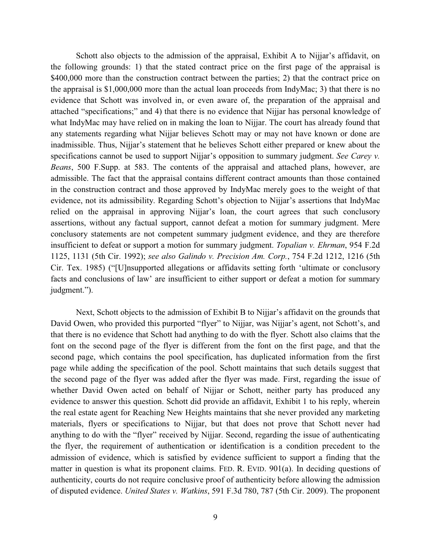Schott also objects to the admission of the appraisal, Exhibit A to Nijjar's affidavit, on the following grounds: 1) that the stated contract price on the first page of the appraisal is \$400,000 more than the construction contract between the parties; 2) that the contract price on the appraisal is \$1,000,000 more than the actual loan proceeds from IndyMac; 3) that there is no evidence that Schott was involved in, or even aware of, the preparation of the appraisal and attached "specifications;" and 4) that there is no evidence that Nijjar has personal knowledge of what IndyMac may have relied on in making the loan to Nijjar. The court has already found that any statements regarding what Nijjar believes Schott may or may not have known or done are inadmissible. Thus, Nijjar's statement that he believes Schott either prepared or knew about the specifications cannot be used to support Nijjar's opposition to summary judgment. *See Carey v. Beans*, 500 F.Supp. at 583. The contents of the appraisal and attached plans, however, are admissible. The fact that the appraisal contains different contract amounts than those contained in the construction contract and those approved by IndyMac merely goes to the weight of that evidence, not its admissibility. Regarding Schott's objection to Nijjar's assertions that IndyMac relied on the appraisal in approving Nijjar's loan, the court agrees that such conclusory assertions, without any factual support, cannot defeat a motion for summary judgment. Mere conclusory statements are not competent summary judgment evidence, and they are therefore insufficient to defeat or support a motion for summary judgment. *Topalian v. Ehrman*, 954 F.2d 1125, 1131 (5th Cir. 1992); *see also Galindo v. Precision Am. Corp.*, 754 F.2d 1212, 1216 (5th Cir. Tex. 1985) ("[U]nsupported allegations or affidavits setting forth 'ultimate or conclusory facts and conclusions of law' are insufficient to either support or defeat a motion for summary judgment.").

Next, Schott objects to the admission of Exhibit B to Nijjar's affidavit on the grounds that David Owen, who provided this purported "flyer" to Nijjar, was Nijjar's agent, not Schott's, and that there is no evidence that Schott had anything to do with the flyer. Schott also claims that the font on the second page of the flyer is different from the font on the first page, and that the second page, which contains the pool specification, has duplicated information from the first page while adding the specification of the pool. Schott maintains that such details suggest that the second page of the flyer was added after the flyer was made. First, regarding the issue of whether David Owen acted on behalf of Nijjar or Schott, neither party has produced any evidence to answer this question. Schott did provide an affidavit, Exhibit 1 to his reply, wherein the real estate agent for Reaching New Heights maintains that she never provided any marketing materials, flyers or specifications to Nijjar, but that does not prove that Schott never had anything to do with the "flyer" received by Nijjar. Second, regarding the issue of authenticating the flyer, the requirement of authentication or identification is a condition precedent to the admission of evidence, which is satisfied by evidence sufficient to support a finding that the matter in question is what its proponent claims. FED. R. EVID. 901(a). In deciding questions of authenticity, courts do not require conclusive proof of authenticity before allowing the admission of disputed evidence. *United States v. Watkins*, 591 F.3d 780, 787 (5th Cir. 2009). The proponent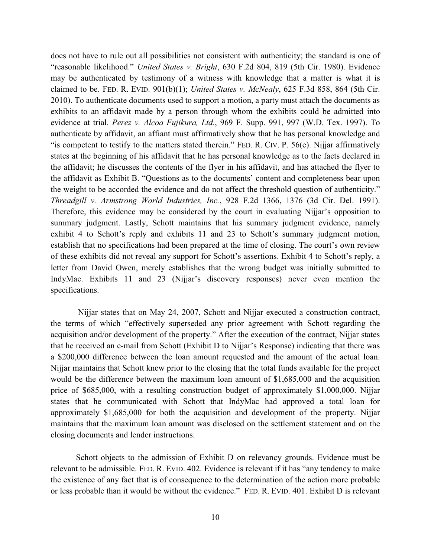does not have to rule out all possibilities not consistent with authenticity; the standard is one of "reasonable likelihood." *United States v. Bright*, 630 F.2d 804, 819 (5th Cir. 1980). Evidence may be authenticated by testimony of a witness with knowledge that a matter is what it is claimed to be. FED. R. EVID. 901(b)(1); *United States v. McNealy*, 625 F.3d 858, 864 (5th Cir. 2010). To authenticate documents used to support a motion, a party must attach the documents as exhibits to an affidavit made by a person through whom the exhibits could be admitted into evidence at trial. *Perez v. Alcoa Fujikura, Ltd.*, 969 F. Supp. 991, 997 (W.D. Tex. 1997). To authenticate by affidavit, an affiant must affirmatively show that he has personal knowledge and "is competent to testify to the matters stated therein." FED. R. CIV. P. 56(e). Nijjar affirmatively states at the beginning of his affidavit that he has personal knowledge as to the facts declared in the affidavit; he discusses the contents of the flyer in his affidavit, and has attached the flyer to the affidavit as Exhibit B. "Questions as to the documents' content and completeness bear upon the weight to be accorded the evidence and do not affect the threshold question of authenticity." *Threadgill v. Armstrong World Industries, Inc.*, 928 F.2d 1366, 1376 (3d Cir. Del. 1991). Therefore, this evidence may be considered by the court in evaluating Nijjar's opposition to summary judgment. Lastly, Schott maintains that his summary judgment evidence, namely exhibit 4 to Schott's reply and exhibits 11 and 23 to Schott's summary judgment motion, establish that no specifications had been prepared at the time of closing. The court's own review of these exhibits did not reveal any support for Schott's assertions. Exhibit 4 to Schott's reply, a letter from David Owen, merely establishes that the wrong budget was initially submitted to IndyMac. Exhibits 11 and 23 (Nijjar's discovery responses) never even mention the specifications.

Nijjar states that on May 24, 2007, Schott and Nijjar executed a construction contract, the terms of which "effectively superseded any prior agreement with Schott regarding the acquisition and/or development of the property." After the execution of the contract, Nijjar states that he received an e-mail from Schott (Exhibit D to Nijjar's Response) indicating that there was a \$200,000 difference between the loan amount requested and the amount of the actual loan. Nijjar maintains that Schott knew prior to the closing that the total funds available for the project would be the difference between the maximum loan amount of \$1,685,000 and the acquisition price of \$685,000, with a resulting construction budget of approximately \$1,000,000. Nijjar states that he communicated with Schott that IndyMac had approved a total loan for approximately \$1,685,000 for both the acquisition and development of the property. Nijjar maintains that the maximum loan amount was disclosed on the settlement statement and on the closing documents and lender instructions.

Schott objects to the admission of Exhibit D on relevancy grounds. Evidence must be relevant to be admissible. FED. R. EVID. 402. Evidence is relevant if it has "any tendency to make the existence of any fact that is of consequence to the determination of the action more probable or less probable than it would be without the evidence." FED. R. EVID. 401. Exhibit D is relevant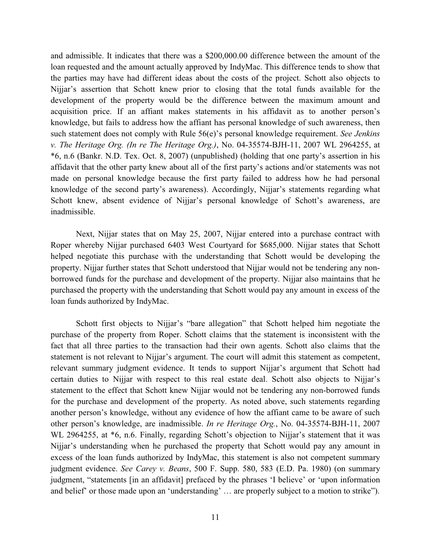and admissible. It indicates that there was a \$200,000.00 difference between the amount of the loan requested and the amount actually approved by IndyMac. This difference tends to show that the parties may have had different ideas about the costs of the project. Schott also objects to Nijjar's assertion that Schott knew prior to closing that the total funds available for the development of the property would be the difference between the maximum amount and acquisition price. If an affiant makes statements in his affidavit as to another person's knowledge, but fails to address how the affiant has personal knowledge of such awareness, then such statement does not comply with Rule 56(e)'s personal knowledge requirement. *See Jenkins v. The Heritage Org. (In re The Heritage Org.)*, No. 04-35574-BJH-11, 2007 WL 2964255, at \*6, n.6 (Bankr. N.D. Tex. Oct. 8, 2007) (unpublished) (holding that one party's assertion in his affidavit that the other party knew about all of the first party's actions and/or statements was not made on personal knowledge because the first party failed to address how he had personal knowledge of the second party's awareness). Accordingly, Nijjar's statements regarding what Schott knew, absent evidence of Nijjar's personal knowledge of Schott's awareness, are inadmissible.

Next, Nijjar states that on May 25, 2007, Nijjar entered into a purchase contract with Roper whereby Nijjar purchased 6403 West Courtyard for \$685,000. Nijjar states that Schott helped negotiate this purchase with the understanding that Schott would be developing the property. Nijjar further states that Schott understood that Nijjar would not be tendering any nonborrowed funds for the purchase and development of the property. Nijjar also maintains that he purchased the property with the understanding that Schott would pay any amount in excess of the loan funds authorized by IndyMac.

Schott first objects to Nijjar's "bare allegation" that Schott helped him negotiate the purchase of the property from Roper. Schott claims that the statement is inconsistent with the fact that all three parties to the transaction had their own agents. Schott also claims that the statement is not relevant to Nijjar's argument. The court will admit this statement as competent, relevant summary judgment evidence. It tends to support Nijjar's argument that Schott had certain duties to Nijjar with respect to this real estate deal. Schott also objects to Nijjar's statement to the effect that Schott knew Nijjar would not be tendering any non-borrowed funds for the purchase and development of the property. As noted above, such statements regarding another person's knowledge, without any evidence of how the affiant came to be aware of such other person's knowledge, are inadmissible. *In re Heritage Org.*, No. 04-35574-BJH-11, 2007 WL 2964255, at  $*6$ , n.6. Finally, regarding Schott's objection to Nijjar's statement that it was Nijjar's understanding when he purchased the property that Schott would pay any amount in excess of the loan funds authorized by IndyMac, this statement is also not competent summary judgment evidence. *See Carey v. Beans*, 500 F. Supp. 580, 583 (E.D. Pa. 1980) (on summary judgment, "statements [in an affidavit] prefaced by the phrases 'I believe' or 'upon information and belief' or those made upon an 'understanding' … are properly subject to a motion to strike").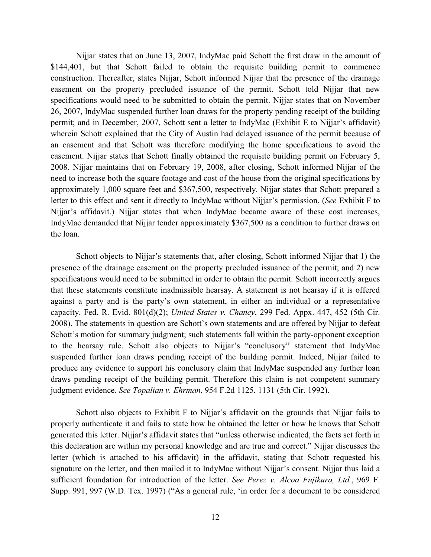Nijjar states that on June 13, 2007, IndyMac paid Schott the first draw in the amount of \$144,401, but that Schott failed to obtain the requisite building permit to commence construction. Thereafter, states Nijjar, Schott informed Nijjar that the presence of the drainage easement on the property precluded issuance of the permit. Schott told Nijjar that new specifications would need to be submitted to obtain the permit. Nijjar states that on November 26, 2007, IndyMac suspended further loan draws for the property pending receipt of the building permit; and in December, 2007, Schott sent a letter to IndyMac (Exhibit E to Nijjar's affidavit) wherein Schott explained that the City of Austin had delayed issuance of the permit because of an easement and that Schott was therefore modifying the home specifications to avoid the easement. Nijjar states that Schott finally obtained the requisite building permit on February 5, 2008. Nijjar maintains that on February 19, 2008, after closing, Schott informed Nijjar of the need to increase both the square footage and cost of the house from the original specifications by approximately 1,000 square feet and \$367,500, respectively. Nijjar states that Schott prepared a letter to this effect and sent it directly to IndyMac without Nijjar's permission. (*See* Exhibit F to Nijjar's affidavit.) Nijjar states that when IndyMac became aware of these cost increases, IndyMac demanded that Nijjar tender approximately \$367,500 as a condition to further draws on the loan.

Schott objects to Nijjar's statements that, after closing, Schott informed Nijjar that 1) the presence of the drainage easement on the property precluded issuance of the permit; and 2) new specifications would need to be submitted in order to obtain the permit. Schott incorrectly argues that these statements constitute inadmissible hearsay. A statement is not hearsay if it is offered against a party and is the party's own statement, in either an individual or a representative capacity. Fed. R. Evid. 801(d)(2); *United States v. Chaney*, 299 Fed. Appx. 447, 452 (5th Cir. 2008). The statements in question are Schott's own statements and are offered by Nijjar to defeat Schott's motion for summary judgment; such statements fall within the party-opponent exception to the hearsay rule. Schott also objects to Nijjar's "conclusory" statement that IndyMac suspended further loan draws pending receipt of the building permit. Indeed, Nijjar failed to produce any evidence to support his conclusory claim that IndyMac suspended any further loan draws pending receipt of the building permit. Therefore this claim is not competent summary judgment evidence. *See Topalian v. Ehrman*, 954 F.2d 1125, 1131 (5th Cir. 1992).

Schott also objects to Exhibit F to Nijjar's affidavit on the grounds that Nijjar fails to properly authenticate it and fails to state how he obtained the letter or how he knows that Schott generated this letter. Nijjar's affidavit states that "unless otherwise indicated, the facts set forth in this declaration are within my personal knowledge and are true and correct." Nijjar discusses the letter (which is attached to his affidavit) in the affidavit, stating that Schott requested his signature on the letter, and then mailed it to IndyMac without Nijjar's consent. Nijjar thus laid a sufficient foundation for introduction of the letter. *See Perez v. Alcoa Fujikura, Ltd.*, 969 F. Supp. 991, 997 (W.D. Tex. 1997) ("As a general rule, 'in order for a document to be considered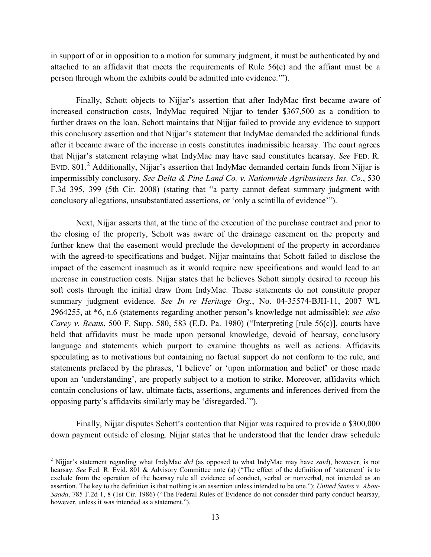in support of or in opposition to a motion for summary judgment, it must be authenticated by and attached to an affidavit that meets the requirements of Rule 56(e) and the affiant must be a person through whom the exhibits could be admitted into evidence.'").

Finally, Schott objects to Nijjar's assertion that after IndyMac first became aware of increased construction costs, IndyMac required Nijjar to tender \$367,500 as a condition to further draws on the loan. Schott maintains that Nijjar failed to provide any evidence to support this conclusory assertion and that Nijjar's statement that IndyMac demanded the additional funds after it became aware of the increase in costs constitutes inadmissible hearsay. The court agrees that Nijjar's statement relaying what IndyMac may have said constitutes hearsay. *See* FED. R. EVID. 801.<sup>2</sup> Additionally, Nijjar's assertion that IndyMac demanded certain funds from Nijjar is impermissibly conclusory. *See Delta & Pine Land Co. v. Nationwide Agribusiness Ins. Co.*, 530 F.3d 395, 399 (5th Cir. 2008) (stating that "a party cannot defeat summary judgment with conclusory allegations, unsubstantiated assertions, or 'only a scintilla of evidence'").

Next, Nijjar asserts that, at the time of the execution of the purchase contract and prior to the closing of the property, Schott was aware of the drainage easement on the property and further knew that the easement would preclude the development of the property in accordance with the agreed-to specifications and budget. Nijjar maintains that Schott failed to disclose the impact of the easement inasmuch as it would require new specifications and would lead to an increase in construction costs. Nijjar states that he believes Schott simply desired to recoup his soft costs through the initial draw from IndyMac. These statements do not constitute proper summary judgment evidence. *See In re Heritage Org.*, No. 04-35574-BJH-11, 2007 WL 2964255, at \*6, n.6 (statements regarding another person's knowledge not admissible); *see also Carey v. Beans*, 500 F. Supp. 580, 583 (E.D. Pa. 1980) ("Interpreting [rule 56(c)], courts have held that affidavits must be made upon personal knowledge, devoid of hearsay, conclusory language and statements which purport to examine thoughts as well as actions. Affidavits speculating as to motivations but containing no factual support do not conform to the rule, and statements prefaced by the phrases, 'I believe' or 'upon information and belief' or those made upon an 'understanding', are properly subject to a motion to strike. Moreover, affidavits which contain conclusions of law, ultimate facts, assertions, arguments and inferences derived from the opposing party's affidavits similarly may be 'disregarded.'").

Finally, Nijjar disputes Schott's contention that Nijjar was required to provide a \$300,000 down payment outside of closing. Nijjar states that he understood that the lender draw schedule

l

<sup>2</sup> Nijjar's statement regarding what IndyMac *did* (as opposed to what IndyMac may have *said*), however, is not hearsay. *See* Fed. R. Evid. 801 & Advisory Committee note (a) ("The effect of the definition of 'statement' is to exclude from the operation of the hearsay rule all evidence of conduct, verbal or nonverbal, not intended as an assertion. The key to the definition is that nothing is an assertion unless intended to be one."); *United States v. Abou-Saada*, 785 F.2d 1, 8 (1st Cir. 1986) ("The Federal Rules of Evidence do not consider third party conduct hearsay, however, unless it was intended as a statement.").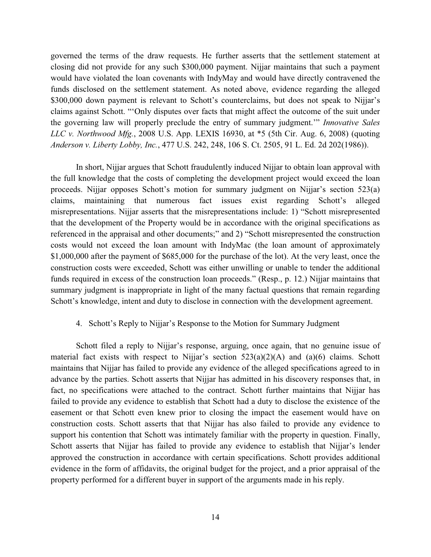governed the terms of the draw requests. He further asserts that the settlement statement at closing did not provide for any such \$300,000 payment. Nijjar maintains that such a payment would have violated the loan covenants with IndyMay and would have directly contravened the funds disclosed on the settlement statement. As noted above, evidence regarding the alleged \$300,000 down payment is relevant to Schott's counterclaims, but does not speak to Nijjar's claims against Schott. "'Only disputes over facts that might affect the outcome of the suit under the governing law will properly preclude the entry of summary judgment.'" *Innovative Sales LLC v. Northwood Mfg.*, 2008 U.S. App. LEXIS 16930, at \*5 (5th Cir. Aug. 6, 2008) (quoting *Anderson v. Liberty Lobby, Inc.*, 477 U.S. 242, 248, 106 S. Ct. 2505, 91 L. Ed. 2d 202(1986)).

In short, Nijjar argues that Schott fraudulently induced Nijjar to obtain loan approval with the full knowledge that the costs of completing the development project would exceed the loan proceeds. Nijjar opposes Schott's motion for summary judgment on Nijjar's section 523(a) claims, maintaining that numerous fact issues exist regarding Schott's alleged misrepresentations. Nijjar asserts that the misrepresentations include: 1) "Schott misrepresented that the development of the Property would be in accordance with the original specifications as referenced in the appraisal and other documents;" and 2) "Schott misrepresented the construction costs would not exceed the loan amount with IndyMac (the loan amount of approximately \$1,000,000 after the payment of \$685,000 for the purchase of the lot). At the very least, once the construction costs were exceeded, Schott was either unwilling or unable to tender the additional funds required in excess of the construction loan proceeds." (Resp., p. 12.) Nijjar maintains that summary judgment is inappropriate in light of the many factual questions that remain regarding Schott's knowledge, intent and duty to disclose in connection with the development agreement.

#### 4. Schott's Reply to Nijjar's Response to the Motion for Summary Judgment

Schott filed a reply to Nijjar's response, arguing, once again, that no genuine issue of material fact exists with respect to Nijjar's section  $523(a)(2)(A)$  and  $(a)(6)$  claims. Schott maintains that Nijjar has failed to provide any evidence of the alleged specifications agreed to in advance by the parties. Schott asserts that Nijjar has admitted in his discovery responses that, in fact, no specifications were attached to the contract. Schott further maintains that Nijjar has failed to provide any evidence to establish that Schott had a duty to disclose the existence of the easement or that Schott even knew prior to closing the impact the easement would have on construction costs. Schott asserts that that Nijjar has also failed to provide any evidence to support his contention that Schott was intimately familiar with the property in question. Finally, Schott asserts that Nijjar has failed to provide any evidence to establish that Nijjar's lender approved the construction in accordance with certain specifications. Schott provides additional evidence in the form of affidavits, the original budget for the project, and a prior appraisal of the property performed for a different buyer in support of the arguments made in his reply.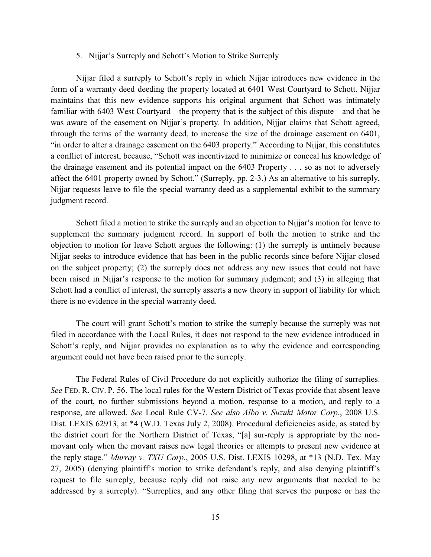#### 5. Nijjar's Surreply and Schott's Motion to Strike Surreply

Nijjar filed a surreply to Schott's reply in which Nijjar introduces new evidence in the form of a warranty deed deeding the property located at 6401 West Courtyard to Schott. Nijjar maintains that this new evidence supports his original argument that Schott was intimately familiar with 6403 West Courtyard—the property that is the subject of this dispute—and that he was aware of the easement on Nijjar's property. In addition, Nijjar claims that Schott agreed, through the terms of the warranty deed, to increase the size of the drainage easement on 6401, "in order to alter a drainage easement on the 6403 property." According to Nijjar, this constitutes a conflict of interest, because, "Schott was incentivized to minimize or conceal his knowledge of the drainage easement and its potential impact on the 6403 Property . . . so as not to adversely affect the 6401 property owned by Schott." (Surreply, pp. 2-3.) As an alternative to his surreply, Nijjar requests leave to file the special warranty deed as a supplemental exhibit to the summary judgment record.

Schott filed a motion to strike the surreply and an objection to Nijjar's motion for leave to supplement the summary judgment record. In support of both the motion to strike and the objection to motion for leave Schott argues the following: (1) the surreply is untimely because Nijjar seeks to introduce evidence that has been in the public records since before Nijjar closed on the subject property; (2) the surreply does not address any new issues that could not have been raised in Nijjar's response to the motion for summary judgment; and (3) in alleging that Schott had a conflict of interest, the surreply asserts a new theory in support of liability for which there is no evidence in the special warranty deed.

The court will grant Schott's motion to strike the surreply because the surreply was not filed in accordance with the Local Rules, it does not respond to the new evidence introduced in Schott's reply, and Nijjar provides no explanation as to why the evidence and corresponding argument could not have been raised prior to the surreply.

The Federal Rules of Civil Procedure do not explicitly authorize the filing of surreplies. *See* FED. R. CIV. P. 56. The local rules for the Western District of Texas provide that absent leave of the court, no further submissions beyond a motion, response to a motion, and reply to a response, are allowed. *See* Local Rule CV-7. *See also Albo v. Suzuki Motor Corp.*, 2008 U.S. Dist. LEXIS 62913, at \*4 (W.D. Texas July 2, 2008). Procedural deficiencies aside, as stated by the district court for the Northern District of Texas, "[a] sur-reply is appropriate by the nonmovant only when the movant raises new legal theories or attempts to present new evidence at the reply stage." *Murray v. TXU Corp.*, 2005 U.S. Dist. LEXIS 10298, at \*13 (N.D. Tex. May 27, 2005) (denying plaintiff's motion to strike defendant's reply, and also denying plaintiff's request to file surreply, because reply did not raise any new arguments that needed to be addressed by a surreply). "Surreplies, and any other filing that serves the purpose or has the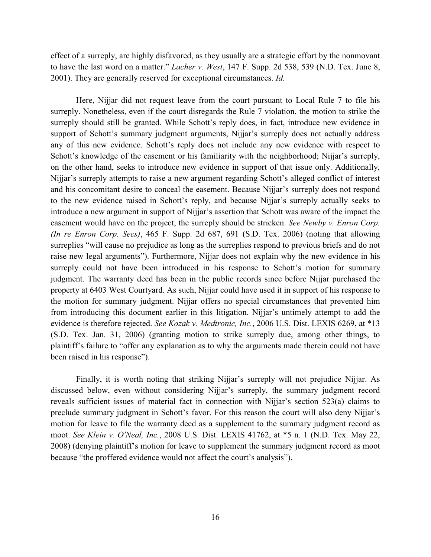effect of a surreply, are highly disfavored, as they usually are a strategic effort by the nonmovant to have the last word on a matter." *Lacher v. West*, 147 F. Supp. 2d 538, 539 (N.D. Tex. June 8, 2001). They are generally reserved for exceptional circumstances. *Id*.

Here, Nijjar did not request leave from the court pursuant to Local Rule 7 to file his surreply. Nonetheless, even if the court disregards the Rule 7 violation, the motion to strike the surreply should still be granted. While Schott's reply does, in fact, introduce new evidence in support of Schott's summary judgment arguments, Nijjar's surreply does not actually address any of this new evidence. Schott's reply does not include any new evidence with respect to Schott's knowledge of the easement or his familiarity with the neighborhood; Nijjar's surreply, on the other hand, seeks to introduce new evidence in support of that issue only. Additionally, Nijjar's surreply attempts to raise a new argument regarding Schott's alleged conflict of interest and his concomitant desire to conceal the easement. Because Nijjar's surreply does not respond to the new evidence raised in Schott's reply, and because Nijjar's surreply actually seeks to introduce a new argument in support of Nijjar's assertion that Schott was aware of the impact the easement would have on the project, the surreply should be stricken. *See Newby v. Enron Corp. (In re Enron Corp. Secs)*, 465 F. Supp. 2d 687, 691 (S.D. Tex. 2006) (noting that allowing surreplies "will cause no prejudice as long as the surreplies respond to previous briefs and do not raise new legal arguments"). Furthermore, Nijjar does not explain why the new evidence in his surreply could not have been introduced in his response to Schott's motion for summary judgment. The warranty deed has been in the public records since before Nijjar purchased the property at 6403 West Courtyard. As such, Nijjar could have used it in support of his response to the motion for summary judgment. Nijjar offers no special circumstances that prevented him from introducing this document earlier in this litigation. Nijjar's untimely attempt to add the evidence is therefore rejected. *See Kozak v. Medtronic, Inc.*, 2006 U.S. Dist. LEXIS 6269, at \*13 (S.D. Tex. Jan. 31, 2006) (granting motion to strike surreply due, among other things, to plaintiff's failure to "offer any explanation as to why the arguments made therein could not have been raised in his response").

Finally, it is worth noting that striking Nijjar's surreply will not prejudice Nijjar. As discussed below, even without considering Nijjar's surreply, the summary judgment record reveals sufficient issues of material fact in connection with Nijjar's section 523(a) claims to preclude summary judgment in Schott's favor. For this reason the court will also deny Nijjar's motion for leave to file the warranty deed as a supplement to the summary judgment record as moot. *See Klein v. O'Neal, Inc.*, 2008 U.S. Dist. LEXIS 41762, at \*5 n. 1 (N.D. Tex. May 22, 2008) (denying plaintiff's motion for leave to supplement the summary judgment record as moot because "the proffered evidence would not affect the court's analysis").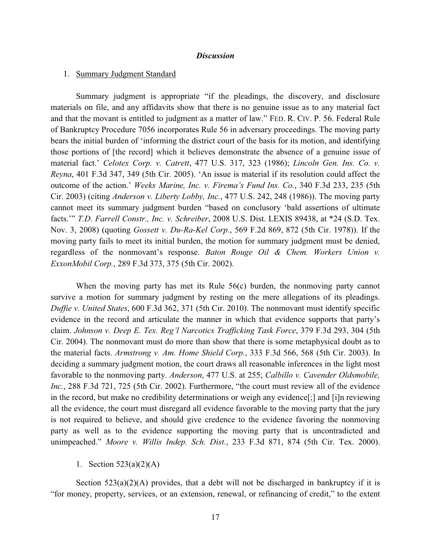#### *Discussion*

#### 1. Summary Judgment Standard

Summary judgment is appropriate "if the pleadings, the discovery, and disclosure materials on file, and any affidavits show that there is no genuine issue as to any material fact and that the movant is entitled to judgment as a matter of law." FED. R. CIV. P. 56. Federal Rule of Bankruptcy Procedure 7056 incorporates Rule 56 in adversary proceedings. The moving party bears the initial burden of 'informing the district court of the basis for its motion, and identifying those portions of [the record] which it believes demonstrate the absence of a genuine issue of material fact.' *Celotex Corp. v. Catrett*, 477 U.S. 317, 323 (1986); *Lincoln Gen. Ins. Co. v. Reyna*, 401 F.3d 347, 349 (5th Cir. 2005). 'An issue is material if its resolution could affect the outcome of the action.' *Weeks Marine, Inc. v. Firema's Fund Ins. Co.*, 340 F.3d 233, 235 (5th Cir. 2003) (citing *Anderson v. Liberty Lobby, Inc.*, 477 U.S. 242, 248 (1986)). The moving party cannot meet its summary judgment burden "based on conclusory 'bald assertions of ultimate facts.'" *T.D. Farrell Constr., Inc. v. Schreiber*, 2008 U.S. Dist. LEXIS 89438, at \*24 (S.D. Tex. Nov. 3, 2008) (quoting *Gossett v. Du-Ra-Kel Corp*., 569 F.2d 869, 872 (5th Cir. 1978)). If the moving party fails to meet its initial burden, the motion for summary judgment must be denied, regardless of the nonmovant's response. *Baton Rouge Oil & Chem. Workers Union v. ExxonMobil Corp.*, 289 F.3d 373, 375 (5th Cir. 2002).

When the moving party has met its Rule 56(c) burden, the nonmoving party cannot survive a motion for summary judgment by resting on the mere allegations of its pleadings. *Duffie v. United States*, 600 F.3d 362, 371 (5th Cir. 2010). The nonmovant must identify specific evidence in the record and articulate the manner in which that evidence supports that party's claim. *Johnson v. Deep E. Tex. Reg'l Narcotics Trafficking Task Force*, 379 F.3d 293, 304 (5th Cir. 2004). The nonmovant must do more than show that there is some metaphysical doubt as to the material facts. *Armstrong v. Am. Home Shield Corp.*, 333 F.3d 566, 568 (5th Cir. 2003). In deciding a summary judgment motion, the court draws all reasonable inferences in the light most favorable to the nonmoving party. *Anderson*, 477 U.S. at 255; *Calbillo v. Cavender Oldsmobile, Inc.*, 288 F.3d 721, 725 (5th Cir. 2002). Furthermore, "the court must review all of the evidence in the record, but make no credibility determinations or weigh any evidence[;] and [i]n reviewing all the evidence, the court must disregard all evidence favorable to the moving party that the jury is not required to believe, and should give credence to the evidence favoring the nonmoving party as well as to the evidence supporting the moving party that is uncontradicted and unimpeached." *Moore v. Willis Indep. Sch. Dist.*, 233 F.3d 871, 874 (5th Cir. Tex. 2000).

#### 1. Section 523(a)(2)(A)

Section  $523(a)(2)(A)$  provides, that a debt will not be discharged in bankruptcy if it is "for money, property, services, or an extension, renewal, or refinancing of credit," to the extent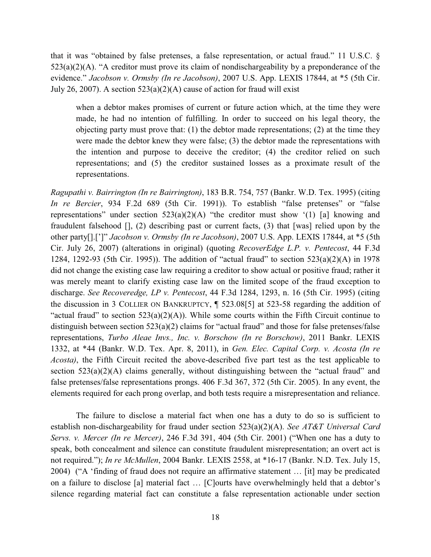that it was "obtained by false pretenses, a false representation, or actual fraud." 11 U.S.C. §  $523(a)(2)(A)$ . "A creditor must prove its claim of nondischargeability by a preponderance of the evidence." *Jacobson v. Ormsby (In re Jacobson)*, 2007 U.S. App. LEXIS 17844, at \*5 (5th Cir. July 26, 2007). A section  $523(a)(2)(A)$  cause of action for fraud will exist

when a debtor makes promises of current or future action which, at the time they were made, he had no intention of fulfilling. In order to succeed on his legal theory, the objecting party must prove that:  $(1)$  the debtor made representations;  $(2)$  at the time they were made the debtor knew they were false; (3) the debtor made the representations with the intention and purpose to deceive the creditor; (4) the creditor relied on such representations; and (5) the creditor sustained losses as a proximate result of the representations.

*Ragupathi v. Bairrington (In re Bairrington)*, 183 B.R. 754, 757 (Bankr. W.D. Tex. 1995) (citing *In re Bercier*, 934 F.2d 689 (5th Cir. 1991)). To establish "false pretenses" or "false representations" under section  $523(a)(2)(A)$  "the creditor must show '(1) [a] knowing and fraudulent falsehood [], (2) describing past or current facts, (3) that [was] relied upon by the other party[].[']" *Jacobson v. Ormsby (In re Jacobson)*, 2007 U.S. App. LEXIS 17844, at \*5 (5th Cir. July 26, 2007) (alterations in original) (quoting *RecoverEdge L.P. v. Pentecost*, 44 F.3d 1284, 1292-93 (5th Cir. 1995)). The addition of "actual fraud" to section 523(a)(2)(A) in 1978 did not change the existing case law requiring a creditor to show actual or positive fraud; rather it was merely meant to clarify existing case law on the limited scope of the fraud exception to discharge. *See Recoveredge, LP v. Pentecost*, 44 F.3d 1284, 1293, n. 16 (5th Cir. 1995) (citing the discussion in 3 COLLIER ON BANKRUPTCY, ¶ 523.08[5] at 523-58 regarding the addition of "actual fraud" to section  $523(a)(2)(A)$ ). While some courts within the Fifth Circuit continue to distinguish between section 523(a)(2) claims for "actual fraud" and those for false pretenses/false representations, *Turbo Aleae Invs., Inc. v. Borschow (In re Borschow)*, 2011 Bankr. LEXIS 1332, at \*44 (Bankr. W.D. Tex. Apr. 8, 2011), in *Gen. Elec. Capital Corp. v. Acosta (In re Acosta)*, the Fifth Circuit recited the above-described five part test as the test applicable to section  $523(a)(2)(A)$  claims generally, without distinguishing between the "actual fraud" and false pretenses/false representations prongs. 406 F.3d 367, 372 (5th Cir. 2005). In any event, the elements required for each prong overlap, and both tests require a misrepresentation and reliance.

The failure to disclose a material fact when one has a duty to do so is sufficient to establish non-dischargeability for fraud under section 523(a)(2)(A). *See AT&T Universal Card Servs. v. Mercer (In re Mercer)*, 246 F.3d 391, 404 (5th Cir. 2001) ("When one has a duty to speak, both concealment and silence can constitute fraudulent misrepresentation; an overt act is not required."); *In re McMullen*, 2004 Bankr. LEXIS 2558, at \*16-17 (Bankr. N.D. Tex. July 15, 2004) ("A 'finding of fraud does not require an affirmative statement … [it] may be predicated on a failure to disclose [a] material fact … [C]ourts have overwhelmingly held that a debtor's silence regarding material fact can constitute a false representation actionable under section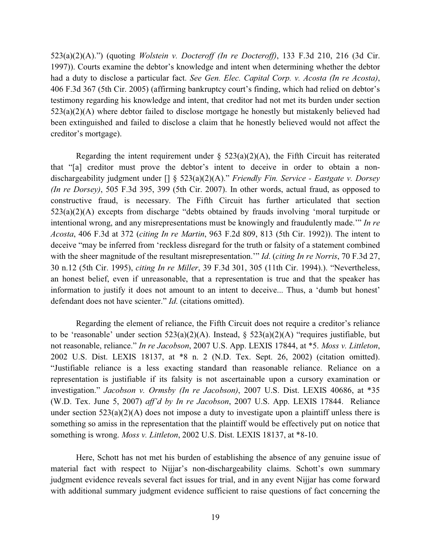523(a)(2)(A).") (quoting *Wolstein v. Docteroff (In re Docteroff)*, 133 F.3d 210, 216 (3d Cir. 1997)). Courts examine the debtor's knowledge and intent when determining whether the debtor had a duty to disclose a particular fact. *See Gen. Elec. Capital Corp. v. Acosta (In re Acosta)*, 406 F.3d 367 (5th Cir. 2005) (affirming bankruptcy court's finding, which had relied on debtor's testimony regarding his knowledge and intent, that creditor had not met its burden under section  $523(a)(2)(A)$  where debtor failed to disclose mortgage he honestly but mistakenly believed had been extinguished and failed to disclose a claim that he honestly believed would not affect the creditor's mortgage).

Regarding the intent requirement under  $\S$  523(a)(2)(A), the Fifth Circuit has reiterated that "[a] creditor must prove the debtor's intent to deceive in order to obtain a nondischargeability judgment under [] § 523(a)(2)(A)." *Friendly Fin. Service - Eastgate v. Dorsey (In re Dorsey)*, 505 F.3d 395, 399 (5th Cir. 2007). In other words, actual fraud, as opposed to constructive fraud, is necessary. The Fifth Circuit has further articulated that section  $523(a)(2)(A)$  excepts from discharge "debts obtained by frauds involving 'moral turpitude or intentional wrong, and any misrepresentations must be knowingly and fraudulently made.'" *In re Acosta*, 406 F.3d at 372 (*citing In re Martin*, 963 F.2d 809, 813 (5th Cir. 1992)). The intent to deceive "may be inferred from 'reckless disregard for the truth or falsity of a statement combined with the sheer magnitude of the resultant misrepresentation.'" *Id*. (*citing In re Norris*, 70 F.3d 27, 30 n.12 (5th Cir. 1995), *citing In re Miller*, 39 F.3d 301, 305 (11th Cir. 1994).). "Nevertheless, an honest belief, even if unreasonable, that a representation is true and that the speaker has information to justify it does not amount to an intent to deceive... Thus, a 'dumb but honest' defendant does not have scienter." *Id*. (citations omitted).

Regarding the element of reliance, the Fifth Circuit does not require a creditor's reliance to be 'reasonable' under section  $523(a)(2)(A)$ . Instead, §  $523(a)(2)(A)$  "requires justifiable, but not reasonable, reliance." *In re Jacobson*, 2007 U.S. App. LEXIS 17844, at \*5. *Moss v. Littleton*, 2002 U.S. Dist. LEXIS 18137, at \*8 n. 2 (N.D. Tex. Sept. 26, 2002) (citation omitted). "Justifiable reliance is a less exacting standard than reasonable reliance. Reliance on a representation is justifiable if its falsity is not ascertainable upon a cursory examination or investigation." *Jacobson v. Ormsby (In re Jacobson)*, 2007 U.S. Dist. LEXIS 40686, at \*35 (W.D. Tex. June 5, 2007) *aff'd by In re Jacobson*, 2007 U.S. App. LEXIS 17844. Reliance under section  $523(a)(2)(A)$  does not impose a duty to investigate upon a plaintiff unless there is something so amiss in the representation that the plaintiff would be effectively put on notice that something is wrong. *Moss v. Littleton*, 2002 U.S. Dist. LEXIS 18137, at \*8-10.

Here, Schott has not met his burden of establishing the absence of any genuine issue of material fact with respect to Nijjar's non-dischargeability claims. Schott's own summary judgment evidence reveals several fact issues for trial, and in any event Nijjar has come forward with additional summary judgment evidence sufficient to raise questions of fact concerning the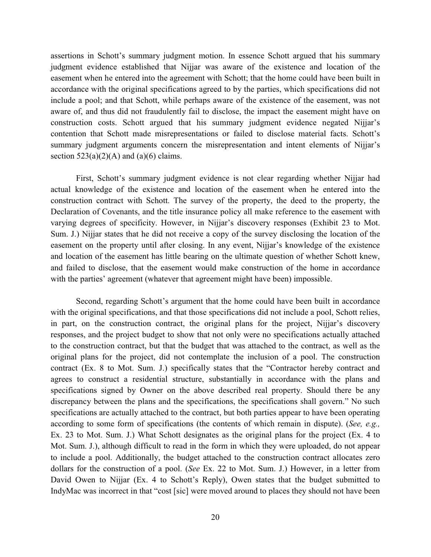assertions in Schott's summary judgment motion. In essence Schott argued that his summary judgment evidence established that Nijjar was aware of the existence and location of the easement when he entered into the agreement with Schott; that the home could have been built in accordance with the original specifications agreed to by the parties, which specifications did not include a pool; and that Schott, while perhaps aware of the existence of the easement, was not aware of, and thus did not fraudulently fail to disclose, the impact the easement might have on construction costs. Schott argued that his summary judgment evidence negated Nijjar's contention that Schott made misrepresentations or failed to disclose material facts. Schott's summary judgment arguments concern the misrepresentation and intent elements of Nijjar's section  $523(a)(2)(A)$  and  $(a)(6)$  claims.

First, Schott's summary judgment evidence is not clear regarding whether Nijjar had actual knowledge of the existence and location of the easement when he entered into the construction contract with Schott. The survey of the property, the deed to the property, the Declaration of Covenants, and the title insurance policy all make reference to the easement with varying degrees of specificity. However, in Nijjar's discovery responses (Exhibit 23 to Mot. Sum. J.) Nijjar states that he did not receive a copy of the survey disclosing the location of the easement on the property until after closing. In any event, Nijjar's knowledge of the existence and location of the easement has little bearing on the ultimate question of whether Schott knew, and failed to disclose, that the easement would make construction of the home in accordance with the parties' agreement (whatever that agreement might have been) impossible.

Second, regarding Schott's argument that the home could have been built in accordance with the original specifications, and that those specifications did not include a pool, Schott relies, in part, on the construction contract, the original plans for the project, Nijjar's discovery responses, and the project budget to show that not only were no specifications actually attached to the construction contract, but that the budget that was attached to the contract, as well as the original plans for the project, did not contemplate the inclusion of a pool. The construction contract (Ex. 8 to Mot. Sum. J.) specifically states that the "Contractor hereby contract and agrees to construct a residential structure, substantially in accordance with the plans and specifications signed by Owner on the above described real property. Should there be any discrepancy between the plans and the specifications, the specifications shall govern." No such specifications are actually attached to the contract, but both parties appear to have been operating according to some form of specifications (the contents of which remain in dispute). (*See, e.g.,*  Ex. 23 to Mot. Sum. J.) What Schott designates as the original plans for the project (Ex. 4 to Mot. Sum. J.), although difficult to read in the form in which they were uploaded, do not appear to include a pool. Additionally, the budget attached to the construction contract allocates zero dollars for the construction of a pool. (*See* Ex. 22 to Mot. Sum. J.) However, in a letter from David Owen to Nijjar (Ex. 4 to Schott's Reply), Owen states that the budget submitted to IndyMac was incorrect in that "cost [sic] were moved around to places they should not have been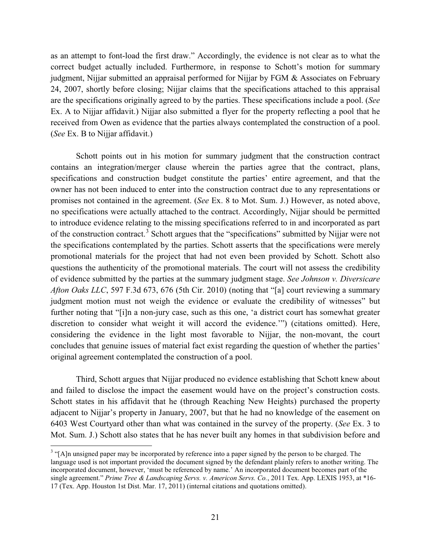as an attempt to font-load the first draw." Accordingly, the evidence is not clear as to what the correct budget actually included. Furthermore, in response to Schott's motion for summary judgment, Nijjar submitted an appraisal performed for Nijjar by FGM & Associates on February 24, 2007, shortly before closing; Nijjar claims that the specifications attached to this appraisal are the specifications originally agreed to by the parties. These specifications include a pool. (*See*  Ex. A to Nijjar affidavit.) Nijjar also submitted a flyer for the property reflecting a pool that he received from Owen as evidence that the parties always contemplated the construction of a pool. (*See* Ex. B to Nijjar affidavit.)

Schott points out in his motion for summary judgment that the construction contract contains an integration/merger clause wherein the parties agree that the contract, plans, specifications and construction budget constitute the parties' entire agreement, and that the owner has not been induced to enter into the construction contract due to any representations or promises not contained in the agreement. (*See* Ex. 8 to Mot. Sum. J.) However, as noted above, no specifications were actually attached to the contract. Accordingly, Nijjar should be permitted to introduce evidence relating to the missing specifications referred to in and incorporated as part of the construction contract.<sup>3</sup> Schott argues that the "specifications" submitted by Nijjar were not the specifications contemplated by the parties. Schott asserts that the specifications were merely promotional materials for the project that had not even been provided by Schott. Schott also questions the authenticity of the promotional materials. The court will not assess the credibility of evidence submitted by the parties at the summary judgment stage. *See Johnson v. Diversicare Afton Oaks LLC*, 597 F.3d 673, 676 (5th Cir. 2010) (noting that "[a] court reviewing a summary judgment motion must not weigh the evidence or evaluate the credibility of witnesses" but further noting that "[i]n a non-jury case, such as this one, 'a district court has somewhat greater discretion to consider what weight it will accord the evidence.'") (citations omitted). Here, considering the evidence in the light most favorable to Nijjar, the non-movant, the court concludes that genuine issues of material fact exist regarding the question of whether the parties' original agreement contemplated the construction of a pool.

Third, Schott argues that Nijjar produced no evidence establishing that Schott knew about and failed to disclose the impact the easement would have on the project's construction costs. Schott states in his affidavit that he (through Reaching New Heights) purchased the property adjacent to Nijjar's property in January, 2007, but that he had no knowledge of the easement on 6403 West Courtyard other than what was contained in the survey of the property. (*See* Ex. 3 to Mot. Sum. J.) Schott also states that he has never built any homes in that subdivision before and

l

<sup>&</sup>lt;sup>3</sup> "[A]n unsigned paper may be incorporated by reference into a paper signed by the person to be charged. The language used is not important provided the document signed by the defendant plainly refers to another writing. The incorporated document, however, 'must be referenced by name.' An incorporated document becomes part of the single agreement." *Prime Tree & Landscaping Servs. v. Americon Servs. Co.*, 2011 Tex. App. LEXIS 1953, at \*16- 17 (Tex. App. Houston 1st Dist. Mar. 17, 2011) (internal citations and quotations omitted).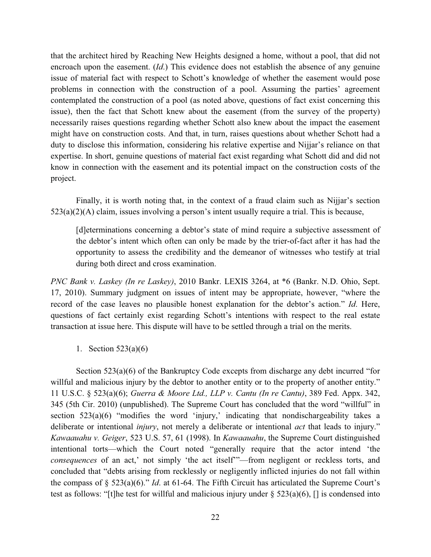that the architect hired by Reaching New Heights designed a home, without a pool, that did not encroach upon the easement. (*Id*.) This evidence does not establish the absence of any genuine issue of material fact with respect to Schott's knowledge of whether the easement would pose problems in connection with the construction of a pool. Assuming the parties' agreement contemplated the construction of a pool (as noted above, questions of fact exist concerning this issue), then the fact that Schott knew about the easement (from the survey of the property) necessarily raises questions regarding whether Schott also knew about the impact the easement might have on construction costs. And that, in turn, raises questions about whether Schott had a duty to disclose this information, considering his relative expertise and Nijjar's reliance on that expertise. In short, genuine questions of material fact exist regarding what Schott did and did not know in connection with the easement and its potential impact on the construction costs of the project.

Finally, it is worth noting that, in the context of a fraud claim such as Nijjar's section 523(a)(2)(A) claim, issues involving a person's intent usually require a trial. This is because,

[d]eterminations concerning a debtor's state of mind require a subjective assessment of the debtor's intent which often can only be made by the trier-of-fact after it has had the opportunity to assess the credibility and the demeanor of witnesses who testify at trial during both direct and cross examination.

*PNC Bank v. Laskey (In re Laskey)*, 2010 Bankr. LEXIS 3264, at \*6 (Bankr. N.D. Ohio, Sept. 17, 2010). Summary judgment on issues of intent may be appropriate, however, "where the record of the case leaves no plausible honest explanation for the debtor's action." *Id*. Here, questions of fact certainly exist regarding Schott's intentions with respect to the real estate transaction at issue here. This dispute will have to be settled through a trial on the merits.

1. Section 523(a)(6)

Section 523(a)(6) of the Bankruptcy Code excepts from discharge any debt incurred "for willful and malicious injury by the debtor to another entity or to the property of another entity." 11 U.S.C. § 523(a)(6); *Guerra & Moore Ltd., LLP v. Cantu (In re Cantu)*, 389 Fed. Appx. 342, 345 (5th Cir. 2010) (unpublished). The Supreme Court has concluded that the word "willful" in section  $523(a)(6)$  "modifies the word 'injury,' indicating that nondischargeability takes a deliberate or intentional *injury*, not merely a deliberate or intentional *act* that leads to injury." *Kawaauahu v. Geiger*, 523 U.S. 57, 61 (1998). In *Kawaauahu*, the Supreme Court distinguished intentional torts—which the Court noted "generally require that the actor intend 'the *consequences* of an act,' not simply 'the act itself'"—from negligent or reckless torts, and concluded that "debts arising from recklessly or negligently inflicted injuries do not fall within the compass of § 523(a)(6)." *Id*. at 61-64. The Fifth Circuit has articulated the Supreme Court's test as follows: "[t]he test for willful and malicious injury under  $\S$  523(a)(6), [] is condensed into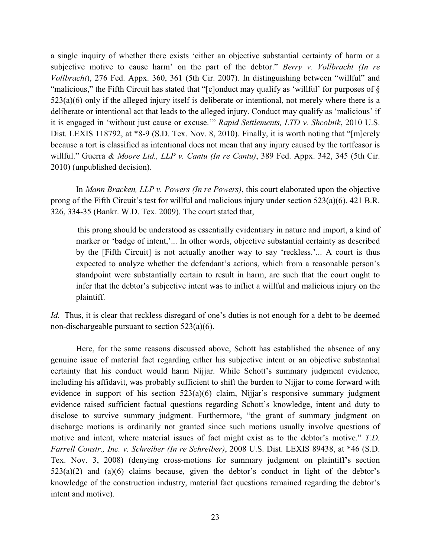a single inquiry of whether there exists 'either an objective substantial certainty of harm or a subjective motive to cause harm' on the part of the debtor." *Berry v. Vollbracht (In re Vollbracht*), 276 Fed. Appx. 360, 361 (5th Cir. 2007). In distinguishing between "willful" and "malicious," the Fifth Circuit has stated that "[c]onduct may qualify as 'willful' for purposes of § 523(a)(6) only if the alleged injury itself is deliberate or intentional, not merely where there is a deliberate or intentional act that leads to the alleged injury. Conduct may qualify as 'malicious' if it is engaged in 'without just cause or excuse.'" *Rapid Settlements, LTD v. Shcolnik*, 2010 U.S. Dist. LEXIS 118792, at \*8-9 (S.D. Tex. Nov. 8, 2010). Finally, it is worth noting that "[m]erely because a tort is classified as intentional does not mean that any injury caused by the tortfeasor is willful." Guerra *& Moore Ltd., LLP v. Cantu (In re Cantu)*, 389 Fed. Appx. 342, 345 (5th Cir. 2010) (unpublished decision).

In *Mann Bracken, LLP v. Powers (In re Powers)*, this court elaborated upon the objective prong of the Fifth Circuit's test for willful and malicious injury under section 523(a)(6). 421 B.R. 326, 334-35 (Bankr. W.D. Tex. 2009). The court stated that,

this prong should be understood as essentially evidentiary in nature and import, a kind of marker or 'badge of intent,'... In other words, objective substantial certainty as described by the [Fifth Circuit] is not actually another way to say 'reckless.'... A court is thus expected to analyze whether the defendant's actions, which from a reasonable person's standpoint were substantially certain to result in harm, are such that the court ought to infer that the debtor's subjective intent was to inflict a willful and malicious injury on the plaintiff.

*Id*. Thus, it is clear that reckless disregard of one's duties is not enough for a debt to be deemed non-dischargeable pursuant to section 523(a)(6).

Here, for the same reasons discussed above, Schott has established the absence of any genuine issue of material fact regarding either his subjective intent or an objective substantial certainty that his conduct would harm Nijjar. While Schott's summary judgment evidence, including his affidavit, was probably sufficient to shift the burden to Nijjar to come forward with evidence in support of his section 523(a)(6) claim, Nijjar's responsive summary judgment evidence raised sufficient factual questions regarding Schott's knowledge, intent and duty to disclose to survive summary judgment. Furthermore, "the grant of summary judgment on discharge motions is ordinarily not granted since such motions usually involve questions of motive and intent, where material issues of fact might exist as to the debtor's motive." *T.D. Farrell Constr., Inc. v. Schreiber (In re Schreiber)*, 2008 U.S. Dist. LEXIS 89438, at \*46 (S.D. Tex. Nov. 3, 2008) (denying cross-motions for summary judgment on plaintiff's section 523(a)(2) and (a)(6) claims because, given the debtor's conduct in light of the debtor's knowledge of the construction industry, material fact questions remained regarding the debtor's intent and motive).